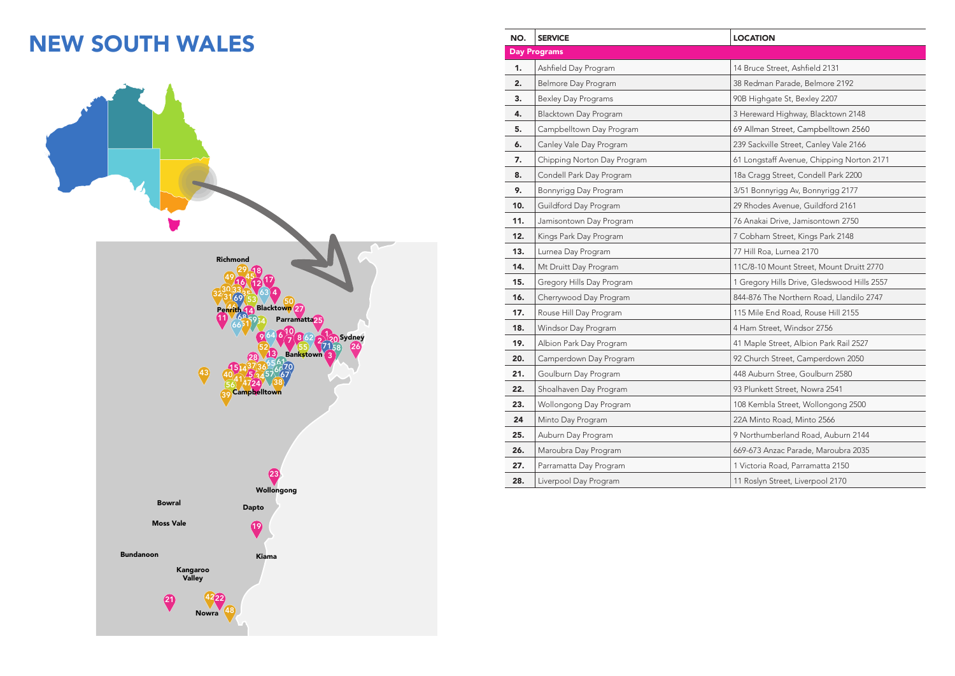## **NEW SOUTH WALES**



| NO. | <b>SERVICE</b>              | <b>LOCATION</b>                             |
|-----|-----------------------------|---------------------------------------------|
|     | <b>Day Programs</b>         |                                             |
| 1.  | Ashfield Day Program        | 14 Bruce Street, Ashfield 2131              |
| 2.  | Belmore Day Program         | 38 Redman Parade, Belmore 2192              |
| 3.  | <b>Bexley Day Programs</b>  | 90B Highgate St, Bexley 2207                |
| 4.  | Blacktown Day Program       | 3 Hereward Highway, Blacktown 2148          |
| 5.  | Campbelltown Day Program    | 69 Allman Street, Campbelltown 2560         |
| 6.  | Canley Vale Day Program     | 239 Sackville Street, Canley Vale 2166      |
| 7.  | Chipping Norton Day Program | 61 Longstaff Avenue, Chipping Norton 2171   |
| 8.  | Condell Park Day Program    | 18a Cragg Street, Condell Park 2200         |
| 9.  | Bonnyrigg Day Program       | 3/51 Bonnyrigg Av, Bonnyrigg 2177           |
| 10. | Guildford Day Program       | 29 Rhodes Avenue, Guildford 2161            |
| 11. | Jamisontown Day Program     | 76 Anakai Drive, Jamisontown 2750           |
| 12. | Kings Park Day Program      | 7 Cobham Street, Kings Park 2148            |
| 13. | Lurnea Day Program          | 77 Hill Roa, Lurnea 2170                    |
| 14. | Mt Druitt Day Program       | 11C/8-10 Mount Street, Mount Druitt 2770    |
| 15. | Gregory Hills Day Program   | 1 Gregory Hills Drive, Gledswood Hills 2557 |
| 16. | Cherrywood Day Program      | 844-876 The Northern Road, Llandilo 2747    |
| 17. | Rouse Hill Day Program      | 115 Mile End Road, Rouse Hill 2155          |
| 18. | Windsor Day Program         | 4 Ham Street, Windsor 2756                  |
| 19. | Albion Park Day Program     | 41 Maple Street, Albion Park Rail 2527      |
| 20. | Camperdown Day Program      | 92 Church Street, Camperdown 2050           |
| 21. | Goulburn Day Program        | 448 Auburn Stree, Goulburn 2580             |
| 22. | Shoalhaven Day Program      | 93 Plunkett Street, Nowra 2541              |
| 23. | Wollongong Day Program      | 108 Kembla Street, Wollongong 2500          |
| 24  | Minto Day Program           | 22A Minto Road, Minto 2566                  |
| 25. | Auburn Day Program          | 9 Northumberland Road, Auburn 2144          |
| 26. | Maroubra Day Program        | 669-673 Anzac Parade, Maroubra 2035         |
| 27. | Parramatta Day Program      | 1 Victoria Road, Parramatta 2150            |
| 28. | Liverpool Day Program       | 11 Roslyn Street, Liverpool 2170            |